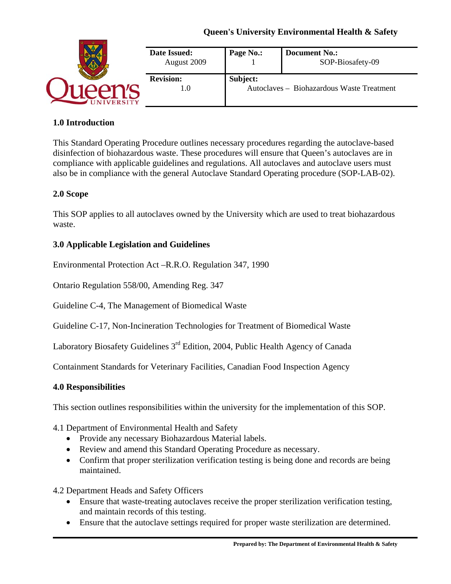|  | Date Issued:<br>August 2009 | Page No.:                                             | <b>Document No.:</b><br>SOP-Biosafety-09 |
|--|-----------------------------|-------------------------------------------------------|------------------------------------------|
|  | <b>Revision:</b><br>l.U     | Subject:<br>Autoclaves - Biohazardous Waste Treatment |                                          |

#### **1.0 Introduction**

This Standard Operating Procedure outlines necessary procedures regarding the autoclave-based disinfection of biohazardous waste. These procedures will ensure that Queen's autoclaves are in compliance with applicable guidelines and regulations. All autoclaves and autoclave users must also be in compliance with the general Autoclave Standard Operating procedure (SOP-LAB-02).

#### **2.0 Scope**

This SOP applies to all autoclaves owned by the University which are used to treat biohazardous waste.

#### **3.0 Applicable Legislation and Guidelines**

Environmental Protection Act –R.R.O. Regulation 347, 1990

Ontario Regulation 558/00, Amending Reg. 347

Guideline C-4, The Management of Biomedical Waste

Guideline C-17, Non-Incineration Technologies for Treatment of Biomedical Waste

Laboratory Biosafety Guidelines 3<sup>rd</sup> Edition, 2004, Public Health Agency of Canada

Containment Standards for Veterinary Facilities, Canadian Food Inspection Agency

#### **4.0 Responsibilities**

This section outlines responsibilities within the university for the implementation of this SOP.

#### 4.1 Department of Environmental Health and Safety

- Provide any necessary Biohazardous Material labels.
- Review and amend this Standard Operating Procedure as necessary.
- Confirm that proper sterilization verification testing is being done and records are being maintained.

4.2 Department Heads and Safety Officers

- Ensure that waste-treating autoclaves receive the proper sterilization verification testing, and maintain records of this testing.
- Ensure that the autoclave settings required for proper waste sterilization are determined.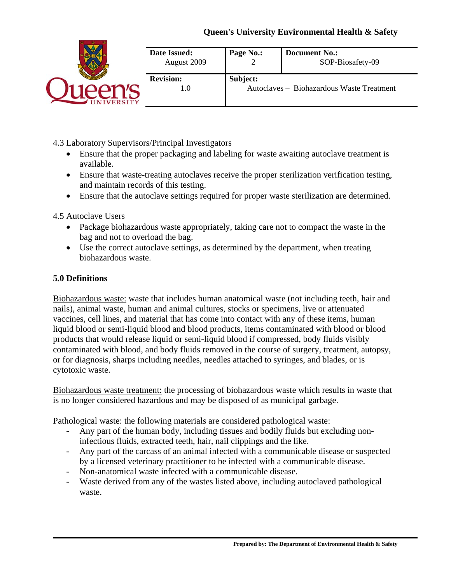|  | Date Issued:<br>August 2009 | Page No.:                                             | <b>Document No.:</b><br>SOP-Biosafety-09 |
|--|-----------------------------|-------------------------------------------------------|------------------------------------------|
|  | <b>Revision:</b><br>1.0     | Subject:<br>Autoclaves - Biohazardous Waste Treatment |                                          |

4.3 Laboratory Supervisors/Principal Investigators

- Ensure that the proper packaging and labeling for waste awaiting autoclave treatment is available.
- Ensure that waste-treating autoclaves receive the proper sterilization verification testing, and maintain records of this testing.
- Ensure that the autoclave settings required for proper waste sterilization are determined.

4.5 Autoclave Users

- Package biohazardous waste appropriately, taking care not to compact the waste in the bag and not to overload the bag.
- Use the correct autoclave settings, as determined by the department, when treating biohazardous waste.

#### **5.0 Definitions**

Biohazardous waste: waste that includes human anatomical waste (not including teeth, hair and nails), animal waste, human and animal cultures, stocks or specimens, live or attenuated vaccines, cell lines, and material that has come into contact with any of these items, human liquid blood or semi-liquid blood and blood products, items contaminated with blood or blood products that would release liquid or semi-liquid blood if compressed, body fluids visibly contaminated with blood, and body fluids removed in the course of surgery, treatment, autopsy, or for diagnosis, sharps including needles, needles attached to syringes, and blades, or is cytotoxic waste.

Biohazardous waste treatment: the processing of biohazardous waste which results in waste that is no longer considered hazardous and may be disposed of as municipal garbage.

Pathological waste: the following materials are considered pathological waste:

- Any part of the human body, including tissues and bodily fluids but excluding noninfectious fluids, extracted teeth, hair, nail clippings and the like.
- Any part of the carcass of an animal infected with a communicable disease or suspected by a licensed veterinary practitioner to be infected with a communicable disease.
- Non-anatomical waste infected with a communicable disease.
- Waste derived from any of the wastes listed above, including autoclaved pathological waste.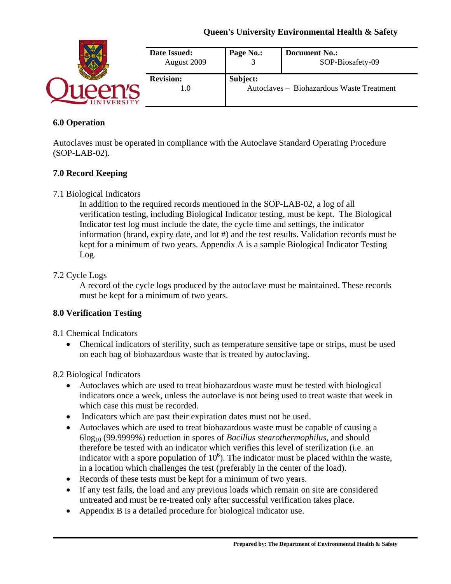|  | Date Issued:<br>August 2009 | Page No.:                                             | <b>Document No.:</b><br>SOP-Biosafety-09 |
|--|-----------------------------|-------------------------------------------------------|------------------------------------------|
|  | <b>Revision:</b><br>l.U     | Subject:<br>Autoclaves - Biohazardous Waste Treatment |                                          |

#### **6.0 Operation**

Autoclaves must be operated in compliance with the Autoclave Standard Operating Procedure (SOP-LAB-02).

#### **7.0 Record Keeping**

7.1 Biological Indicators

In addition to the required records mentioned in the SOP-LAB-02, a log of all verification testing, including Biological Indicator testing, must be kept. The Biological Indicator test log must include the date, the cycle time and settings, the indicator information (brand, expiry date, and lot #) and the test results. Validation records must be kept for a minimum of two years. Appendix A is a sample Biological Indicator Testing Log.

#### 7.2 Cycle Logs

A record of the cycle logs produced by the autoclave must be maintained. These records must be kept for a minimum of two years.

#### **8.0 Verification Testing**

- 8.1 Chemical Indicators
	- Chemical indicators of sterility, such as temperature sensitive tape or strips, must be used on each bag of biohazardous waste that is treated by autoclaving.

#### 8.2 Biological Indicators

- Autoclaves which are used to treat biohazardous waste must be tested with biological indicators once a week, unless the autoclave is not being used to treat waste that week in which case this must be recorded.
- Indicators which are past their expiration dates must not be used.
- Autoclaves which are used to treat biohazardous waste must be capable of causing a 6log10 (99.9999%) reduction in spores of *Bacillus stearothermophilus*, and should therefore be tested with an indicator which verifies this level of sterilization (i.e. an indicator with a spore population of  $10<sup>6</sup>$ ). The indicator must be placed within the waste, in a location which challenges the test (preferably in the center of the load).
- Records of these tests must be kept for a minimum of two years.
- If any test fails, the load and any previous loads which remain on site are considered untreated and must be re-treated only after successful verification takes place.
- Appendix B is a detailed procedure for biological indicator use.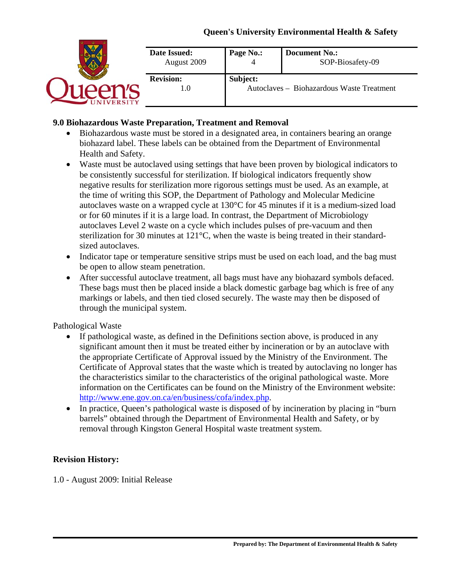|  | Date Issued:<br>August 2009 | Page No.:                                             | <b>Document No.:</b><br>SOP-Biosafety-09 |
|--|-----------------------------|-------------------------------------------------------|------------------------------------------|
|  | <b>Revision:</b><br>1.0     | Subject:<br>Autoclaves - Biohazardous Waste Treatment |                                          |

#### **9.0 Biohazardous Waste Preparation, Treatment and Removal**

- Biohazardous waste must be stored in a designated area, in containers bearing an orange biohazard label. These labels can be obtained from the Department of Environmental Health and Safety.
- Waste must be autoclaved using settings that have been proven by biological indicators to be consistently successful for sterilization. If biological indicators frequently show negative results for sterilization more rigorous settings must be used. As an example, at the time of writing this SOP, the Department of Pathology and Molecular Medicine autoclaves waste on a wrapped cycle at 130°C for 45 minutes if it is a medium-sized load or for 60 minutes if it is a large load. In contrast, the Department of Microbiology autoclaves Level 2 waste on a cycle which includes pulses of pre-vacuum and then sterilization for 30 minutes at 121°C, when the waste is being treated in their standardsized autoclaves.
- Indicator tape or temperature sensitive strips must be used on each load, and the bag must be open to allow steam penetration.
- After successful autoclave treatment, all bags must have any biohazard symbols defaced. These bags must then be placed inside a black domestic garbage bag which is free of any markings or labels, and then tied closed securely. The waste may then be disposed of through the municipal system.

#### Pathological Waste

- If pathological waste, as defined in the Definitions section above, is produced in any significant amount then it must be treated either by incineration or by an autoclave with the appropriate Certificate of Approval issued by the Ministry of the Environment. The Certificate of Approval states that the waste which is treated by autoclaving no longer has the characteristics similar to the characteristics of the original pathological waste. More information on the Certificates can be found on the Ministry of the Environment website: http://www.ene.gov.on.ca/en/business/cofa/index.php.
- In practice, Queen's pathological waste is disposed of by incineration by placing in "burn" barrels" obtained through the Department of Environmental Health and Safety, or by removal through Kingston General Hospital waste treatment system.

#### **Revision History:**

1.0 - August 2009: Initial Release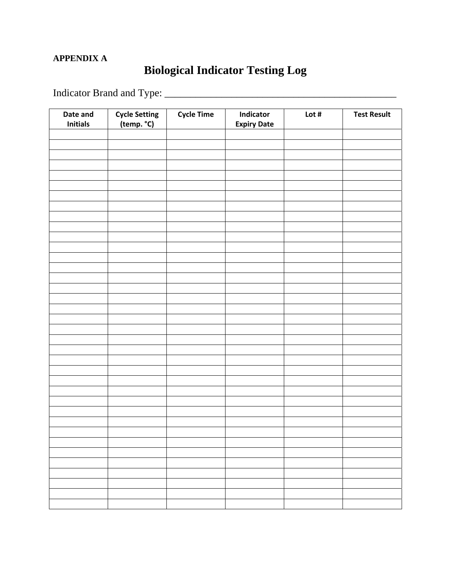### **APPENDIX A**

# **Biological Indicator Testing Log**

Indicator Brand and Type: \_\_\_\_\_\_\_\_\_\_\_\_\_\_\_\_\_\_\_\_\_\_\_\_\_\_\_\_\_\_\_\_\_\_\_\_\_\_\_\_\_\_\_\_\_

| Date and<br><b>Initials</b> | Cycle Setting<br>(temp. °C) | <b>Cycle Time</b> | Indicator<br><b>Expiry Date</b> | Lot $#$ | <b>Test Result</b> |
|-----------------------------|-----------------------------|-------------------|---------------------------------|---------|--------------------|
|                             |                             |                   |                                 |         |                    |
|                             |                             |                   |                                 |         |                    |
|                             |                             |                   |                                 |         |                    |
|                             |                             |                   |                                 |         |                    |
|                             |                             |                   |                                 |         |                    |
|                             |                             |                   |                                 |         |                    |
|                             |                             |                   |                                 |         |                    |
|                             |                             |                   |                                 |         |                    |
|                             |                             |                   |                                 |         |                    |
|                             |                             |                   |                                 |         |                    |
|                             |                             |                   |                                 |         |                    |
|                             |                             |                   |                                 |         |                    |
|                             |                             |                   |                                 |         |                    |
|                             |                             |                   |                                 |         |                    |
|                             |                             |                   |                                 |         |                    |
|                             |                             |                   |                                 |         |                    |
|                             |                             |                   |                                 |         |                    |
|                             |                             |                   |                                 |         |                    |
|                             |                             |                   |                                 |         |                    |
|                             |                             |                   |                                 |         |                    |
|                             |                             |                   |                                 |         |                    |
|                             |                             |                   |                                 |         |                    |
|                             |                             |                   |                                 |         |                    |
|                             |                             |                   |                                 |         |                    |
|                             |                             |                   |                                 |         |                    |
|                             |                             |                   |                                 |         |                    |
|                             |                             |                   |                                 |         |                    |
|                             |                             |                   |                                 |         |                    |
|                             |                             |                   |                                 |         |                    |
|                             |                             |                   |                                 |         |                    |
|                             |                             |                   |                                 |         |                    |
|                             |                             |                   |                                 |         |                    |
|                             |                             |                   |                                 |         |                    |
|                             |                             |                   |                                 |         |                    |
|                             |                             |                   |                                 |         |                    |
|                             |                             |                   |                                 |         |                    |
|                             |                             |                   |                                 |         |                    |